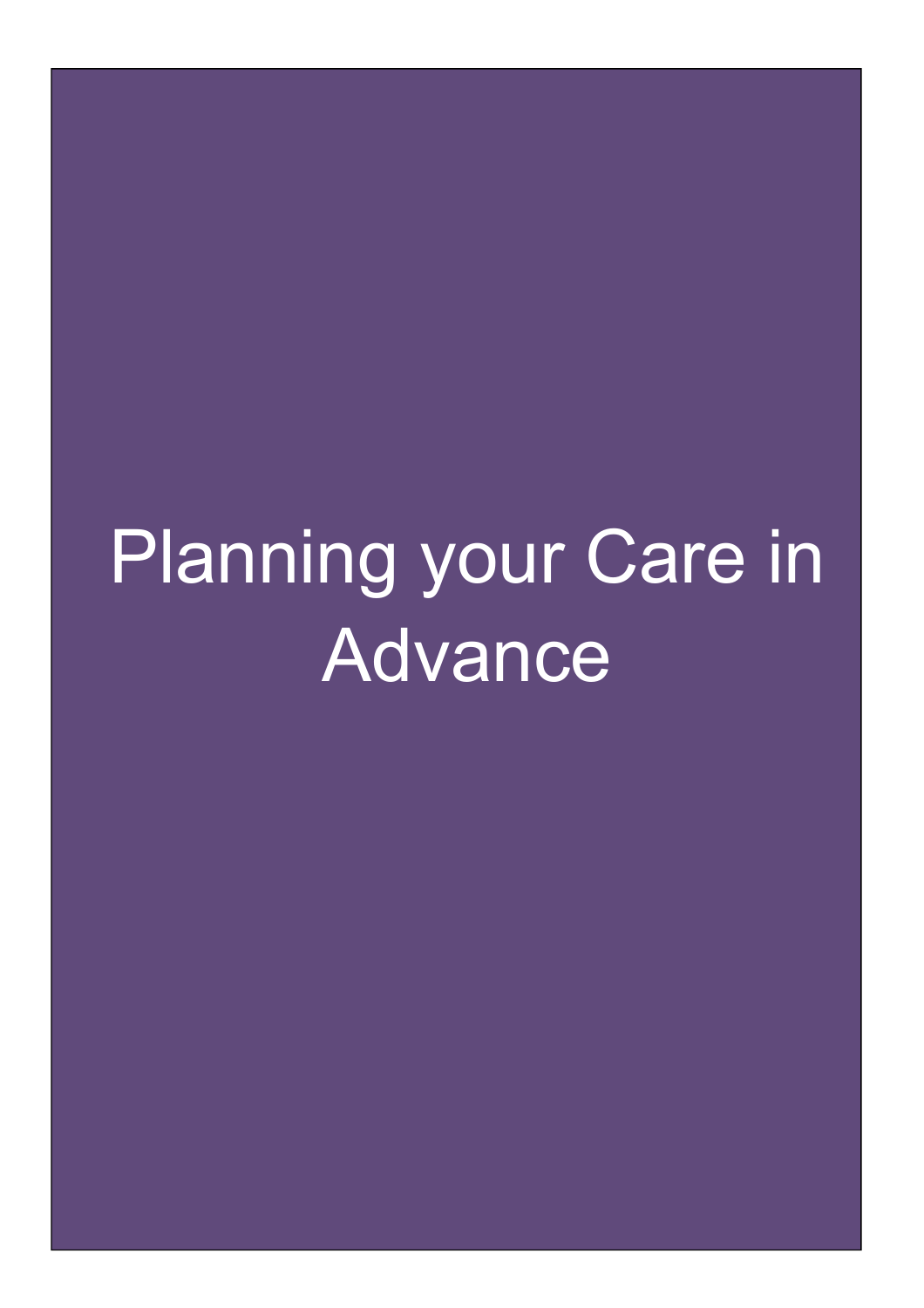# Planning your Care in Advance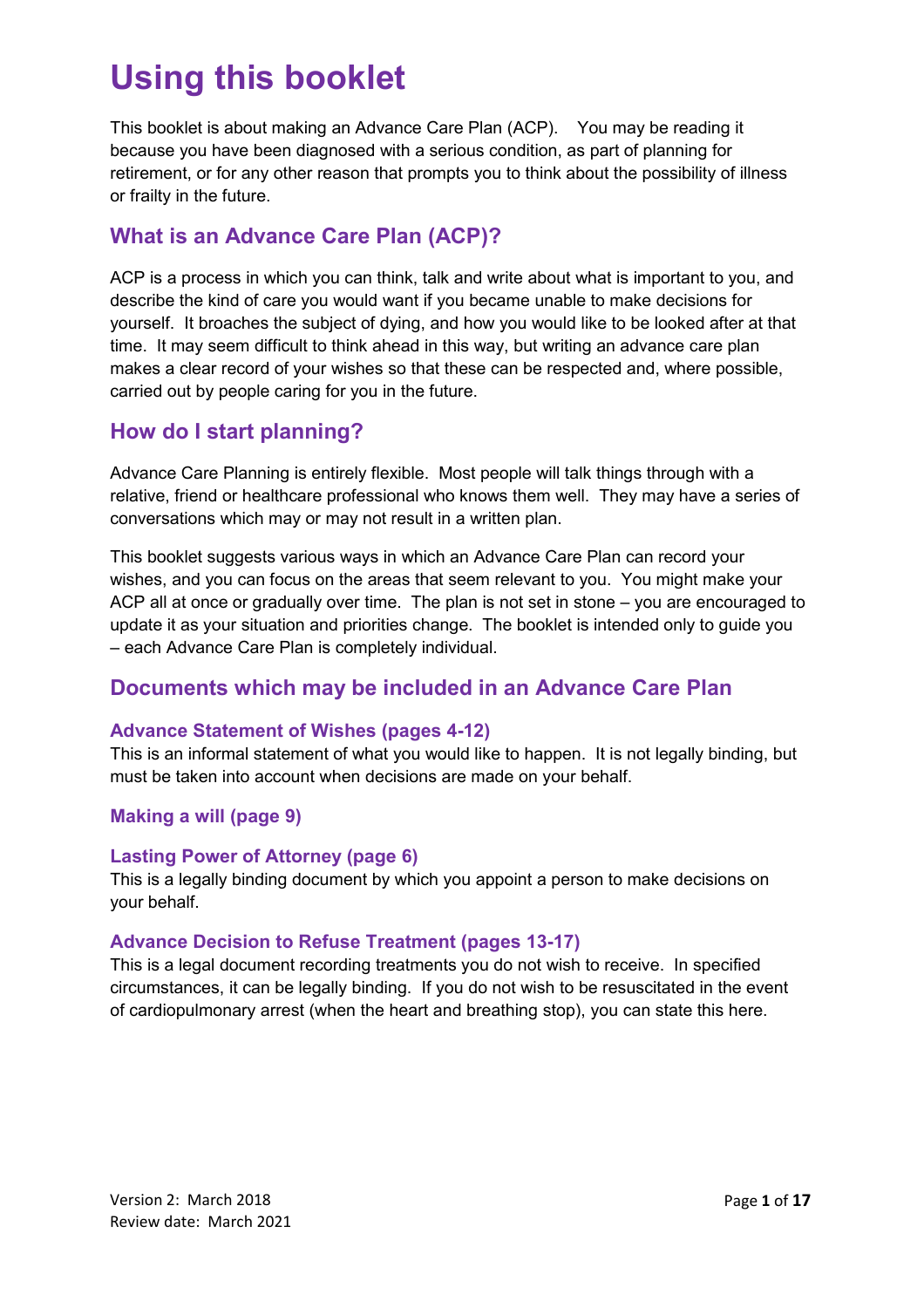## **Using this booklet**

This booklet is about making an Advance Care Plan (ACP). You may be reading it because you have been diagnosed with a serious condition, as part of planning for retirement, or for any other reason that prompts you to think about the possibility of illness or frailty in the future.

#### **What is an Advance Care Plan (ACP)?**

ACP is a process in which you can think, talk and write about what is important to you, and describe the kind of care you would want if you became unable to make decisions for yourself. It broaches the subject of dying, and how you would like to be looked after at that time. It may seem difficult to think ahead in this way, but writing an advance care plan makes a clear record of your wishes so that these can be respected and, where possible, carried out by people caring for you in the future.

#### **How do I start planning?**

Advance Care Planning is entirely flexible. Most people will talk things through with a relative, friend or healthcare professional who knows them well. They may have a series of conversations which may or may not result in a written plan.

This booklet suggests various ways in which an Advance Care Plan can record your wishes, and you can focus on the areas that seem relevant to you. You might make your ACP all at once or gradually over time. The plan is not set in stone – you are encouraged to update it as your situation and priorities change. The booklet is intended only to guide you – each Advance Care Plan is completely individual.

#### **Documents which may be included in an Advance Care Plan**

#### **Advance Statement of Wishes (pages 4-12)**

This is an informal statement of what you would like to happen. It is not legally binding, but must be taken into account when decisions are made on your behalf.

#### **Making a will (page 9)**

#### **Lasting Power of Attorney (page 6)**

This is a legally binding document by which you appoint a person to make decisions on your behalf.

#### **Advance Decision to Refuse Treatment (pages 13-17)**

This is a legal document recording treatments you do not wish to receive. In specified circumstances, it can be legally binding. If you do not wish to be resuscitated in the event of cardiopulmonary arrest (when the heart and breathing stop), you can state this here.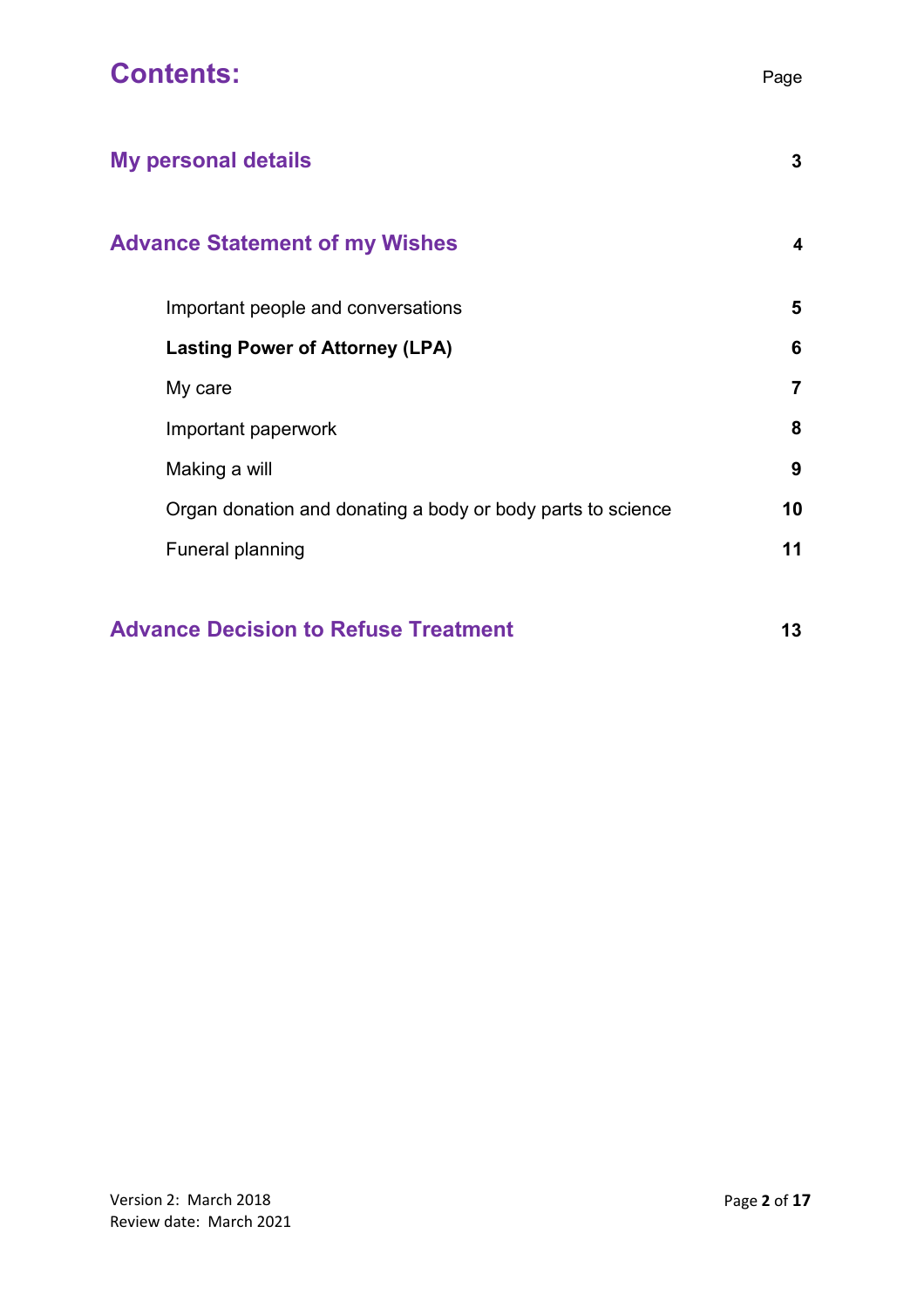| Page                    |
|-------------------------|
| 3                       |
| $\overline{\mathbf{4}}$ |
| 5                       |
| 6                       |
| $\overline{7}$          |
| 8                       |
| 9                       |
| 10                      |
|                         |

Funeral planning **11**

#### **Advance Decision to Refuse Treatment 13**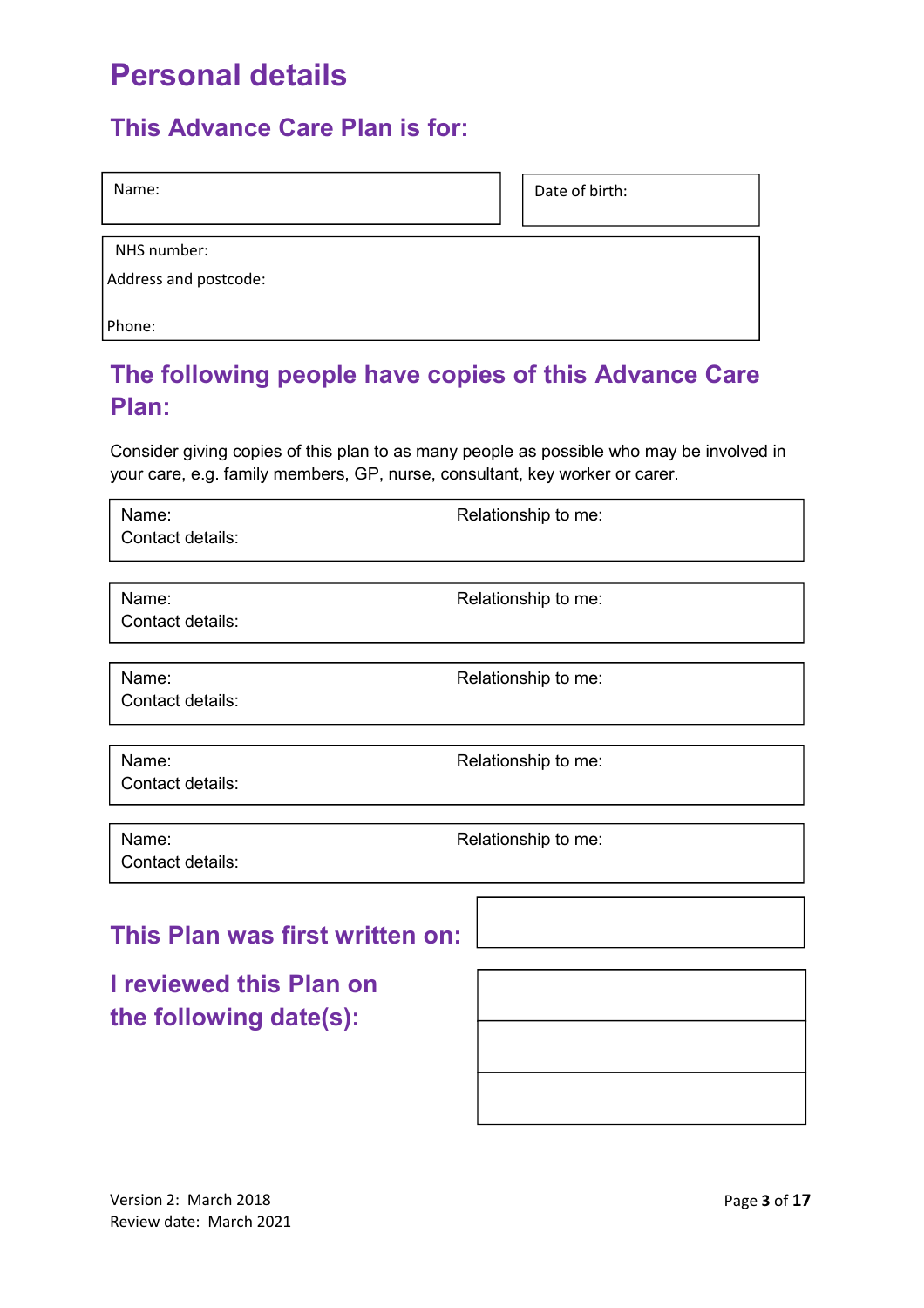## **Personal details**

#### **This Advance Care Plan is for:**

| Name: | Date of birth: |
|-------|----------------|
|       |                |

NHS number:

Address and postcode:

Phone:

## **The following people have copies of this Advance Care Plan:**

Consider giving copies of this plan to as many people as possible who may be involved in your care, e.g. family members, GP, nurse, consultant, key worker or carer.

| Name:                           | Relationship to me: |  |  |  |
|---------------------------------|---------------------|--|--|--|
| Contact details:                |                     |  |  |  |
|                                 |                     |  |  |  |
| Name:<br>Contact details:       | Relationship to me: |  |  |  |
|                                 |                     |  |  |  |
| Name:                           | Relationship to me: |  |  |  |
| Contact details:                |                     |  |  |  |
|                                 |                     |  |  |  |
| Name:                           | Relationship to me: |  |  |  |
| Contact details:                |                     |  |  |  |
|                                 |                     |  |  |  |
| Name:                           | Relationship to me: |  |  |  |
| Contact details:                |                     |  |  |  |
|                                 |                     |  |  |  |
| This Plan was first written on: |                     |  |  |  |
|                                 |                     |  |  |  |
| <b>I reviewed this Plan on</b>  |                     |  |  |  |
| the following date(s):          |                     |  |  |  |
|                                 |                     |  |  |  |
|                                 |                     |  |  |  |

7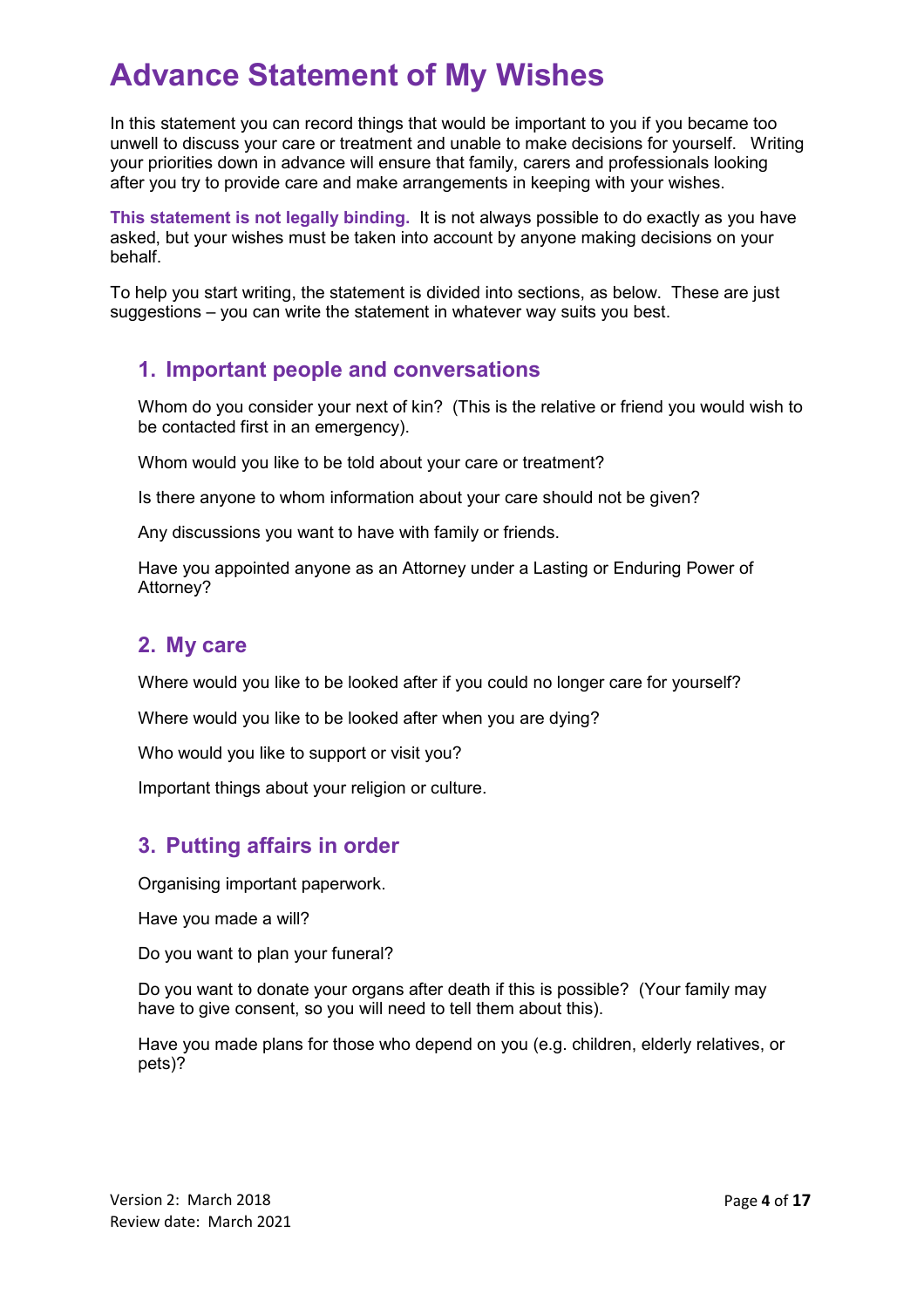## **Advance Statement of My Wishes**

In this statement you can record things that would be important to you if you became too unwell to discuss your care or treatment and unable to make decisions for yourself. Writing your priorities down in advance will ensure that family, carers and professionals looking after you try to provide care and make arrangements in keeping with your wishes.

**This statement is not legally binding.** It is not always possible to do exactly as you have asked, but your wishes must be taken into account by anyone making decisions on your behalf.

To help you start writing, the statement is divided into sections, as below. These are just suggestions – you can write the statement in whatever way suits you best.

#### **1. Important people and conversations**

Whom do you consider your next of kin? (This is the relative or friend you would wish to be contacted first in an emergency).

Whom would you like to be told about your care or treatment?

Is there anyone to whom information about your care should not be given?

Any discussions you want to have with family or friends.

Have you appointed anyone as an Attorney under a Lasting or Enduring Power of Attorney?

#### **2. My care**

Where would you like to be looked after if you could no longer care for yourself?

Where would you like to be looked after when you are dying?

Who would you like to support or visit you?

Important things about your religion or culture.

#### **3. Putting affairs in order**

Organising important paperwork.

Have you made a will?

Do you want to plan your funeral?

Do you want to donate your organs after death if this is possible? (Your family may have to give consent, so you will need to tell them about this).

Have you made plans for those who depend on you (e.g. children, elderly relatives, or pets)?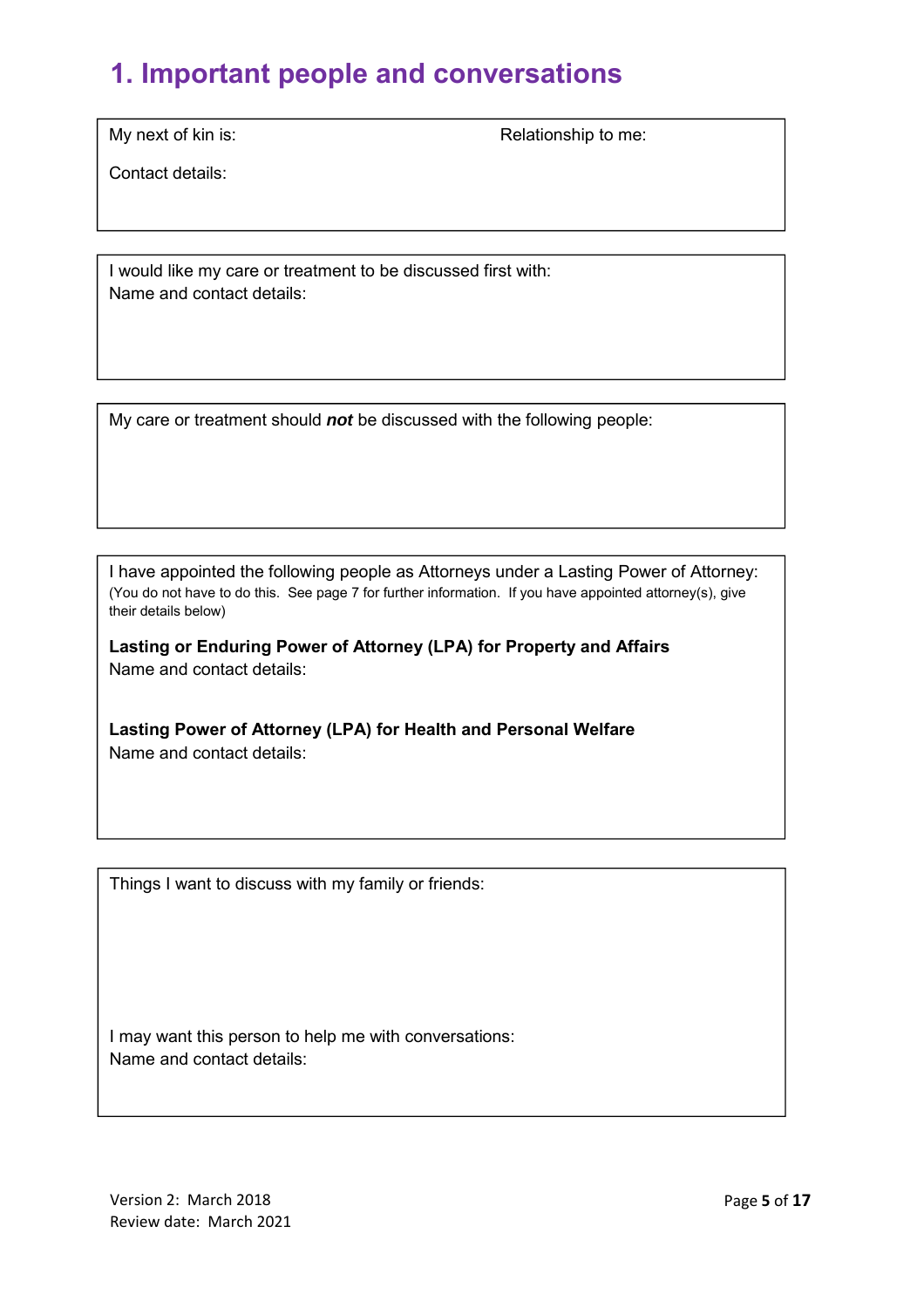## **1. Important people and conversations**

My next of kin is: Relationship to me:

Contact details:

I would like my care or treatment to be discussed first with: Name and contact details:

My care or treatment should **not** be discussed with the following people:

I have appointed the following people as Attorneys under a Lasting Power of Attorney: (You do not have to do this. See page 7 for further information. If you have appointed attorney(s), give their details below)

**Lasting or Enduring Power of Attorney (LPA) for Property and Affairs** Name and contact details:

**Lasting Power of Attorney (LPA) for Health and Personal Welfare**  Name and contact details:

Things I want to discuss with my family or friends:

I may want this person to help me with conversations: Name and contact details: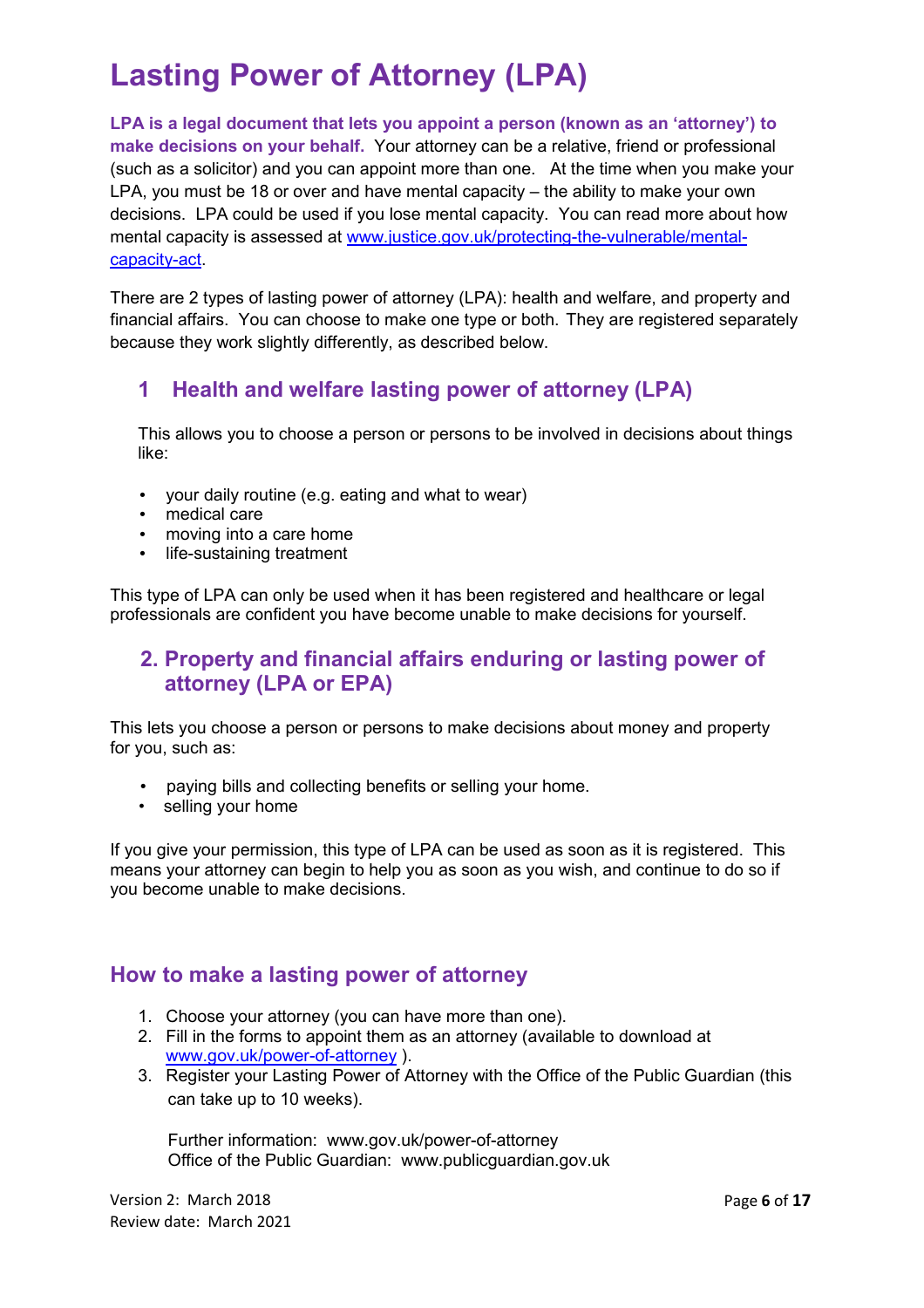## **Lasting Power of Attorney (LPA)**

**LPA is a legal document that lets you appoint a person (known as an 'attorney') to make decisions on your behalf.** Your attorney can be a relative, friend or professional (such as a solicitor) and you can appoint more than one. At the time when you make your LPA, you must be 18 or over and have mental capacity – the ability to make your own decisions. LPA could be used if you lose mental capacity. You can read more about how mental capacity is assessed at www.justice.gov.uk/protecting-the-vulnerable/mentalcapacity-act.

There are 2 types of lasting power of attorney (LPA): health and welfare, and property and financial affairs. You can choose to make one type or both. They are registered separately because they work slightly differently, as described below.

#### **1 Health and welfare lasting power of attorney (LPA)**

This allows you to choose a person or persons to be involved in decisions about things like:

- your daily routine (e.g. eating and what to wear)
- medical care
- moving into a care home
- life-sustaining treatment

This type of LPA can only be used when it has been registered and healthcare or legal professionals are confident you have become unable to make decisions for yourself.

#### **2. Property and financial affairs enduring or lasting power of attorney (LPA or EPA)**

This lets you choose a person or persons to make decisions about money and property for you, such as:

- paying bills and collecting benefits or selling your home.
- selling your home

If you give your permission, this type of LPA can be used as soon as it is registered. This means your attorney can begin to help you as soon as you wish, and continue to do so if you become unable to make decisions.

#### **How to make a lasting power of attorney**

- 1. Choose your attorney (you can have more than one).
- 2. Fill in the forms to appoint them as an attorney (available to download at www.gov.uk/power-of-attorney ).
- 3. Register your Lasting Power of Attorney with the Office of the Public Guardian (this can take up to 10 weeks).

Further information: www.gov.uk/power-of-attorney Office of the Public Guardian: www.publicguardian.gov.uk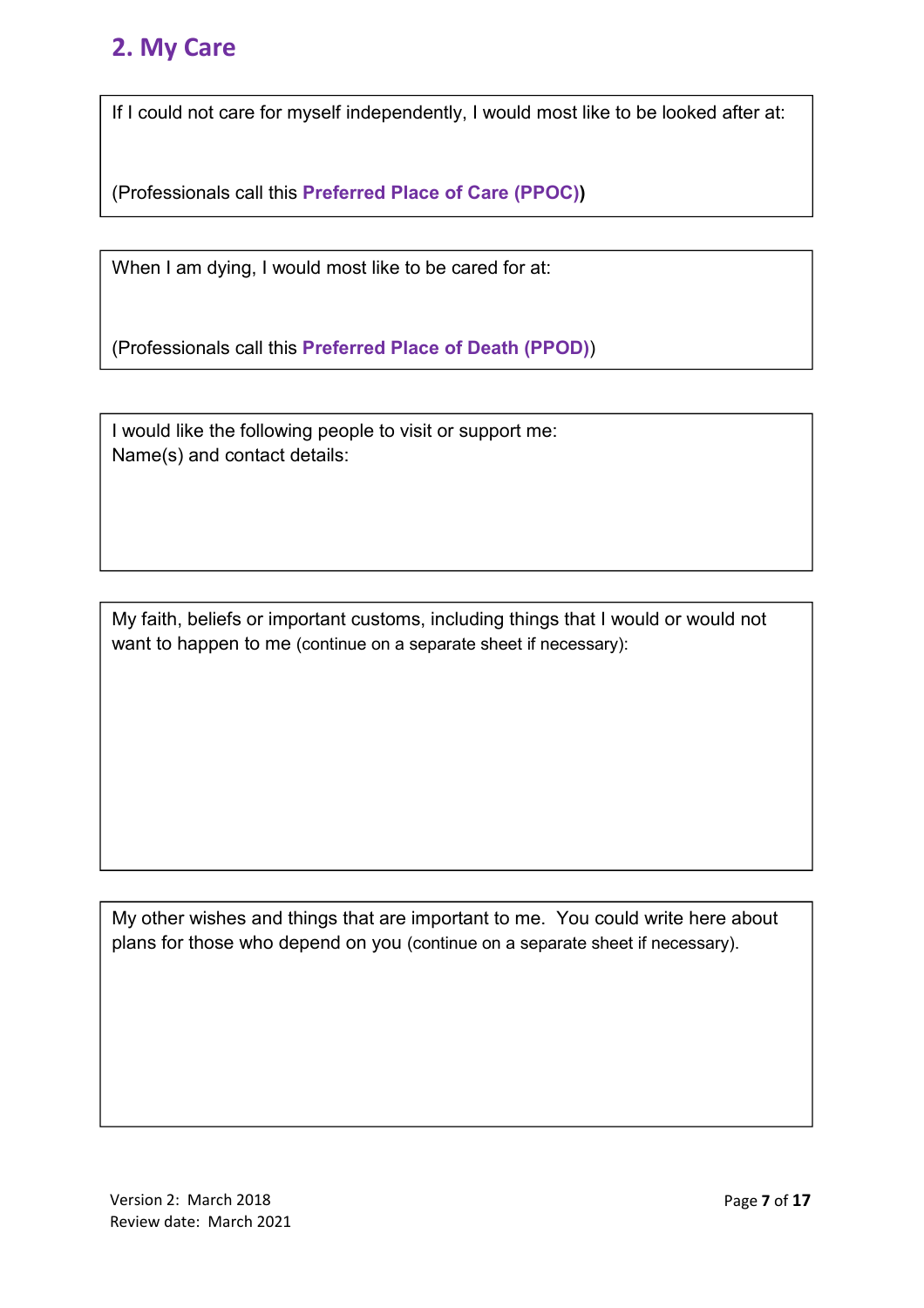#### **2. My Care**

If I could not care for myself independently, I would most like to be looked after at:

(Professionals call this **Preferred Place of Care (PPOC))** 

When I am dying, I would most like to be cared for at:

(Professionals call this **Preferred Place of Death (PPOD)**)

I would like the following people to visit or support me: Name(s) and contact details:

My faith, beliefs or important customs, including things that I would or would not want to happen to me (continue on a separate sheet if necessary):

My other wishes and things that are important to me. You could write here about plans for those who depend on you (continue on a separate sheet if necessary).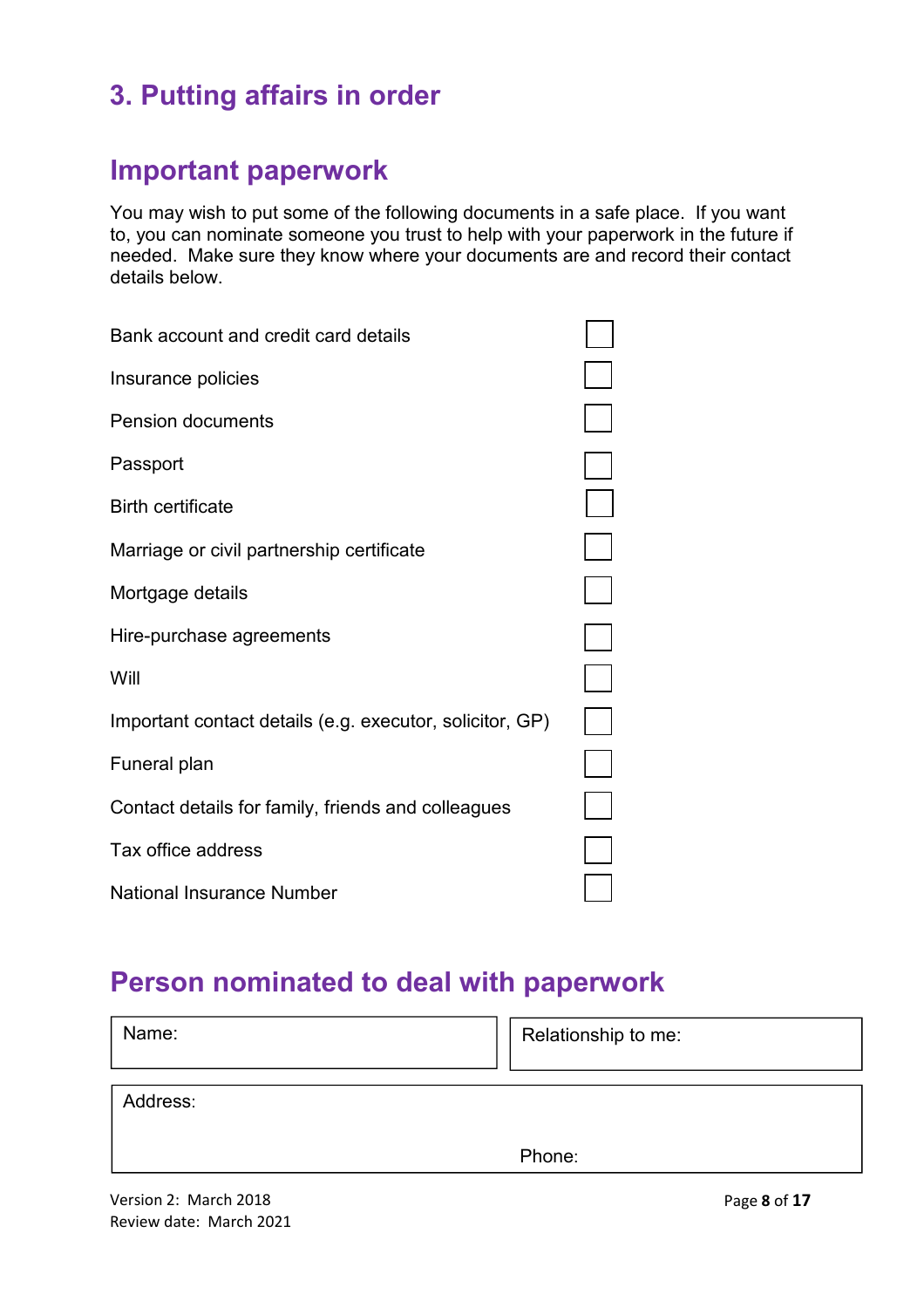## **3. Putting affairs in order**

## **Important paperwork**

You may wish to put some of the following documents in a safe place. If you want to, you can nominate someone you trust to help with your paperwork in the future if needed. Make sure they know where your documents are and record their contact details below.

| Bank account and credit card details                     |  |
|----------------------------------------------------------|--|
| Insurance policies                                       |  |
| <b>Pension documents</b>                                 |  |
| Passport                                                 |  |
| <b>Birth certificate</b>                                 |  |
| Marriage or civil partnership certificate                |  |
| Mortgage details                                         |  |
| Hire-purchase agreements                                 |  |
| Will                                                     |  |
| Important contact details (e.g. executor, solicitor, GP) |  |
| Funeral plan                                             |  |
| Contact details for family, friends and colleagues       |  |
| Tax office address                                       |  |
| <b>National Insurance Number</b>                         |  |

## **Person nominated to deal with paperwork**

| Name:    | Relationship to me: |
|----------|---------------------|
| Address: |                     |
|          | Phone:              |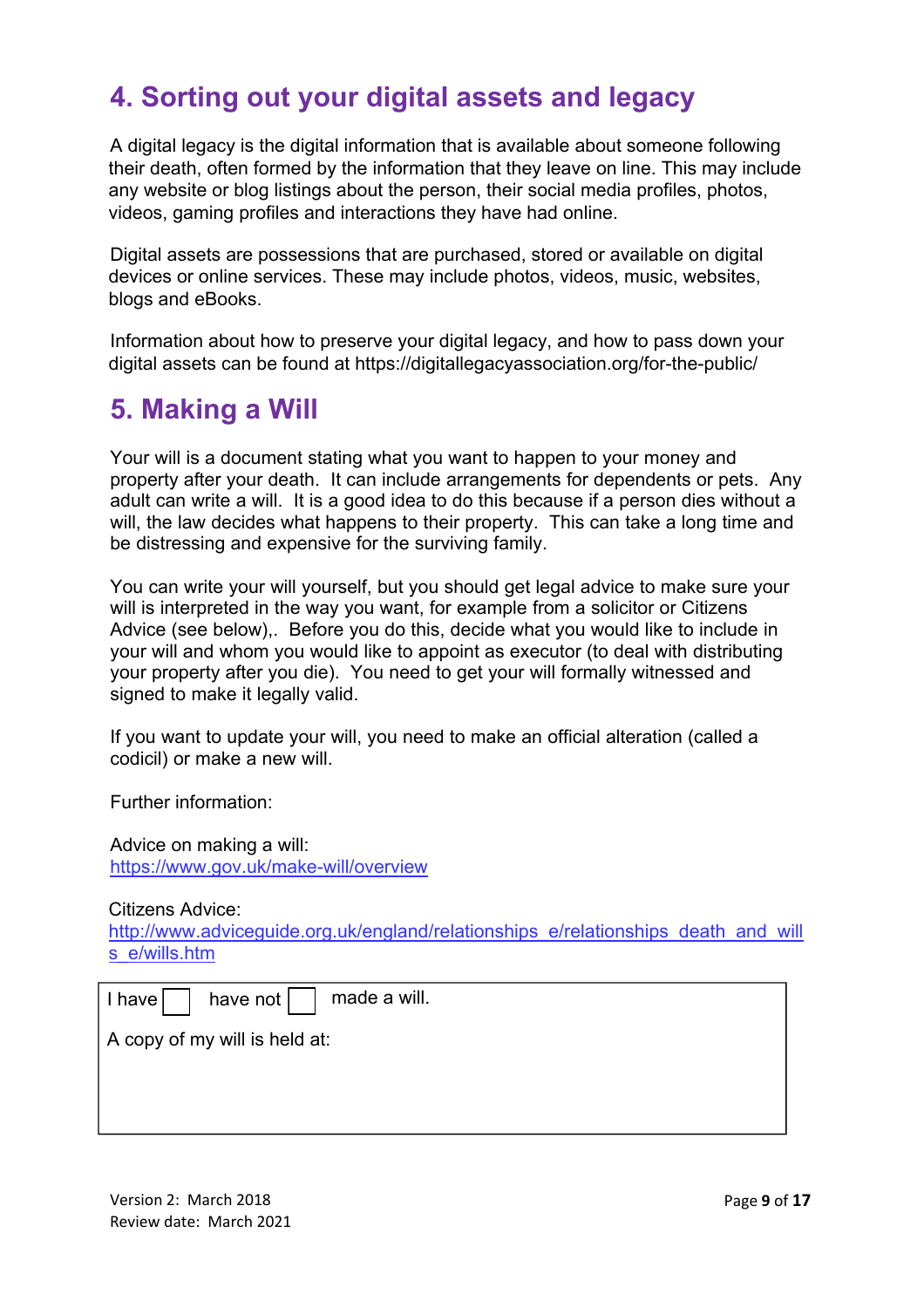## **4. Sorting out your digital assets and legacy**

A digital legacy is the digital information that is available about someone following their death, often formed by the information that they leave on line. This may include any website or blog listings about the person, their social media profiles, photos, videos, gaming profiles and interactions they have had online.

Digital assets are possessions that are purchased, stored or available on digital devices or online services. These may include photos, videos, music, websites, blogs and eBooks.

Information about how to preserve your digital legacy, and how to pass down your digital assets can be found at https://digitallegacyassociation.org/for-the-public/

## **5. Making a Will**

Your will is a document stating what you want to happen to your money and property after your death. It can include arrangements for dependents or pets. Any adult can write a will. It is a good idea to do this because if a person dies without a will, the law decides what happens to their property. This can take a long time and be distressing and expensive for the surviving family.

You can write your will yourself, but you should get legal advice to make sure your will is interpreted in the way you want, for example from a solicitor or Citizens Advice (see below),. Before you do this, decide what you would like to include in your will and whom you would like to appoint as executor (to deal with distributing your property after you die). You need to get your will formally witnessed and signed to make it legally valid.

If you want to update your will, you need to make an official alteration (called a codicil) or make a new will.

Further information:

Advice on making a will: https://www.gov.uk/make-will/overview

Citizens Advice:

http://www.adviceguide.org.uk/england/relationships\_e/relationships\_death\_and\_will s\_e/wills.htm

| have not $  \cdot  $ made a will.<br>$l$ have $  \quad  $ |
|-----------------------------------------------------------|
| A copy of my will is held at:                             |
|                                                           |
|                                                           |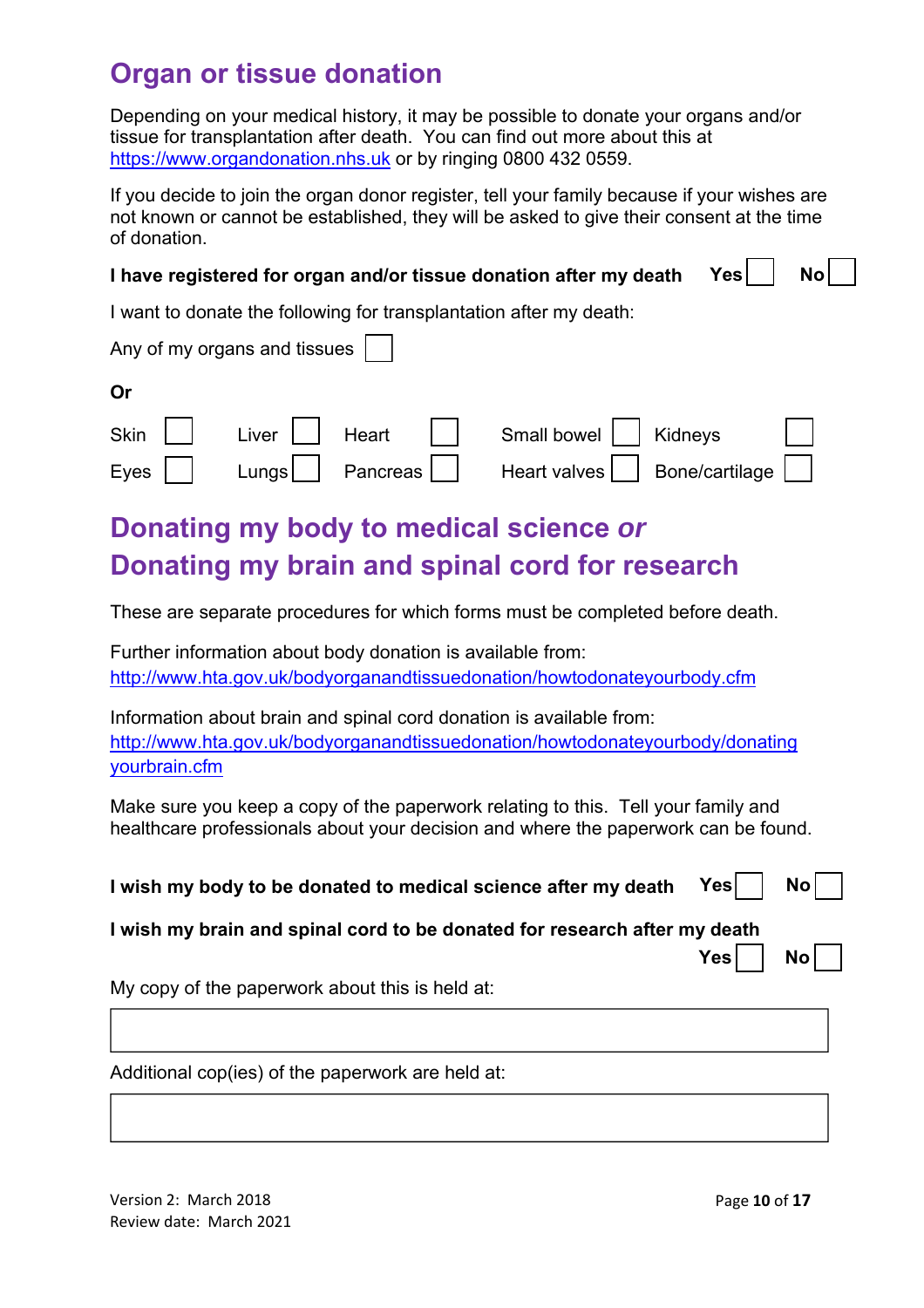## **Organ or tissue donation**

Depending on your medical history, it may be possible to donate your organs and/or tissue for transplantation after death. You can find out more about this at https://www.organdonation.nhs.uk or by ringing 0800 432 0559.

If you decide to join the organ donor register, tell your family because if your wishes are not known or cannot be established, they will be asked to give their consent at the time of donation.

| I have registered for organ and/or tissue donation after my death $\;$ Yes $\textcolor{red}{\bigcup}$ No $\textcolor{red}{\bigcup}$ |  |
|-------------------------------------------------------------------------------------------------------------------------------------|--|
|                                                                                                                                     |  |

I want to donate the following for transplantation after my death:

| Any of my organs and tissues |                                              |
|------------------------------|----------------------------------------------|
| Or                           |                                              |
|                              | Skin   Liver   Heart   Small bowel   Kidneys |

|  | Donating my body to medical science or         |  |
|--|------------------------------------------------|--|
|  | Donating my brain and spinal cord for research |  |

These are separate procedures for which forms must be completed before death.

Eves  $\Box$  Lungs Pancreas Heart valves Bone/cartilage

Further information about body donation is available from: http://www.hta.gov.uk/bodyorganandtissuedonation/howtodonateyourbody.cfm

Information about brain and spinal cord donation is available from: http://www.hta.gov.uk/bodyorganandtissuedonation/howtodonateyourbody/donating yourbrain.cfm

Make sure you keep a copy of the paperwork relating to this. Tell your family and healthcare professionals about your decision and where the paperwork can be found.

**I wish my body to be donated to medical science after my death Yes** 

| ×<br>۰. |
|---------|
|         |

**I wish my brain and spinal cord to be donated for research after my death** 

My copy of the paperwork about this is held at:

Additional cop(ies) of the paperwork are held at: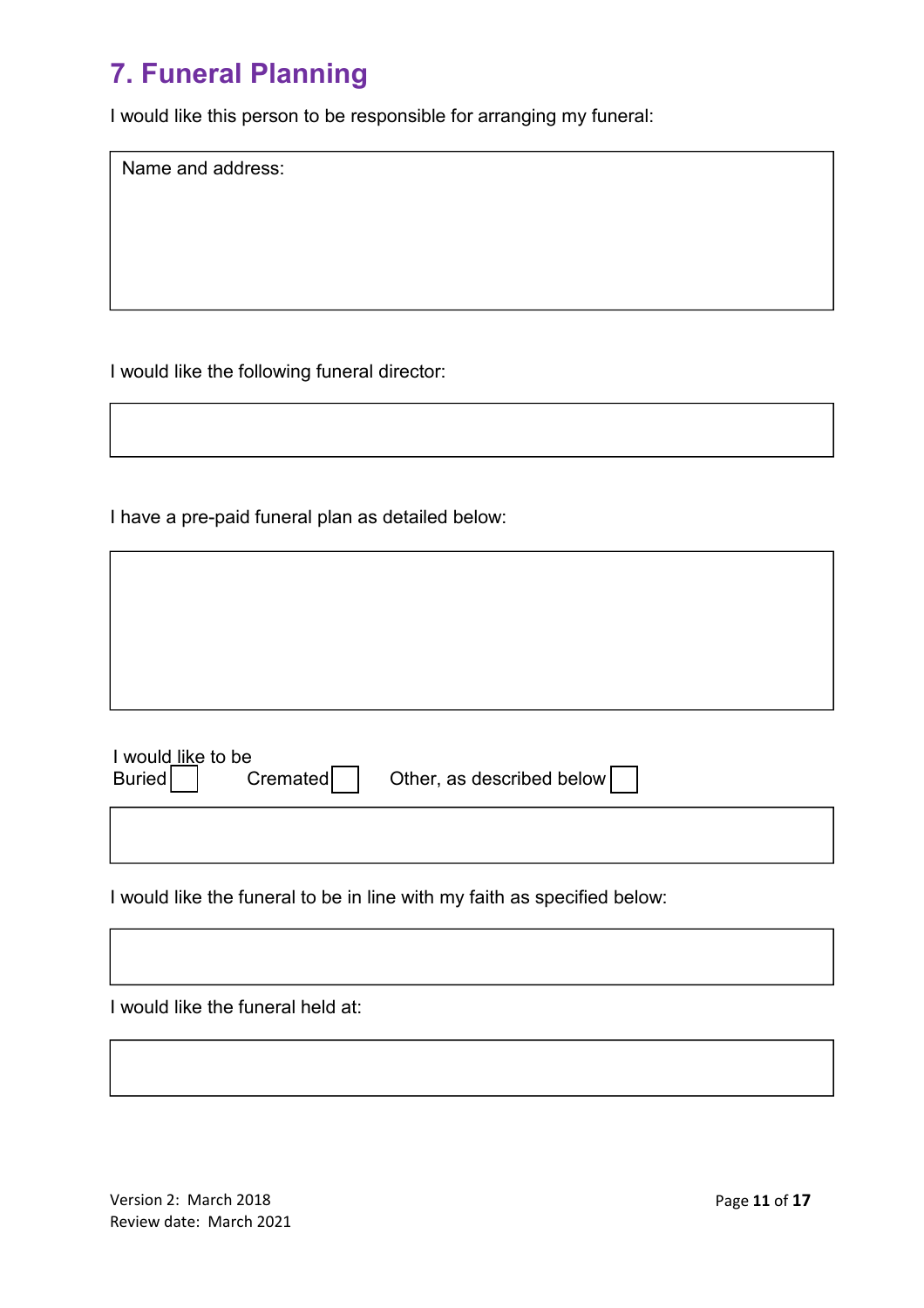## **7. Funeral Planning**

I would like this person to be responsible for arranging my funeral:

Name and address:

I would like the following funeral director:

I have a pre-paid funeral plan as detailed below:

| I would like to be<br>Buried | Cremated | Other, as described below |
|------------------------------|----------|---------------------------|
|                              |          |                           |

I would like the funeral to be in line with my faith as specified below:



Version 2: March 2018 Review date: March 2021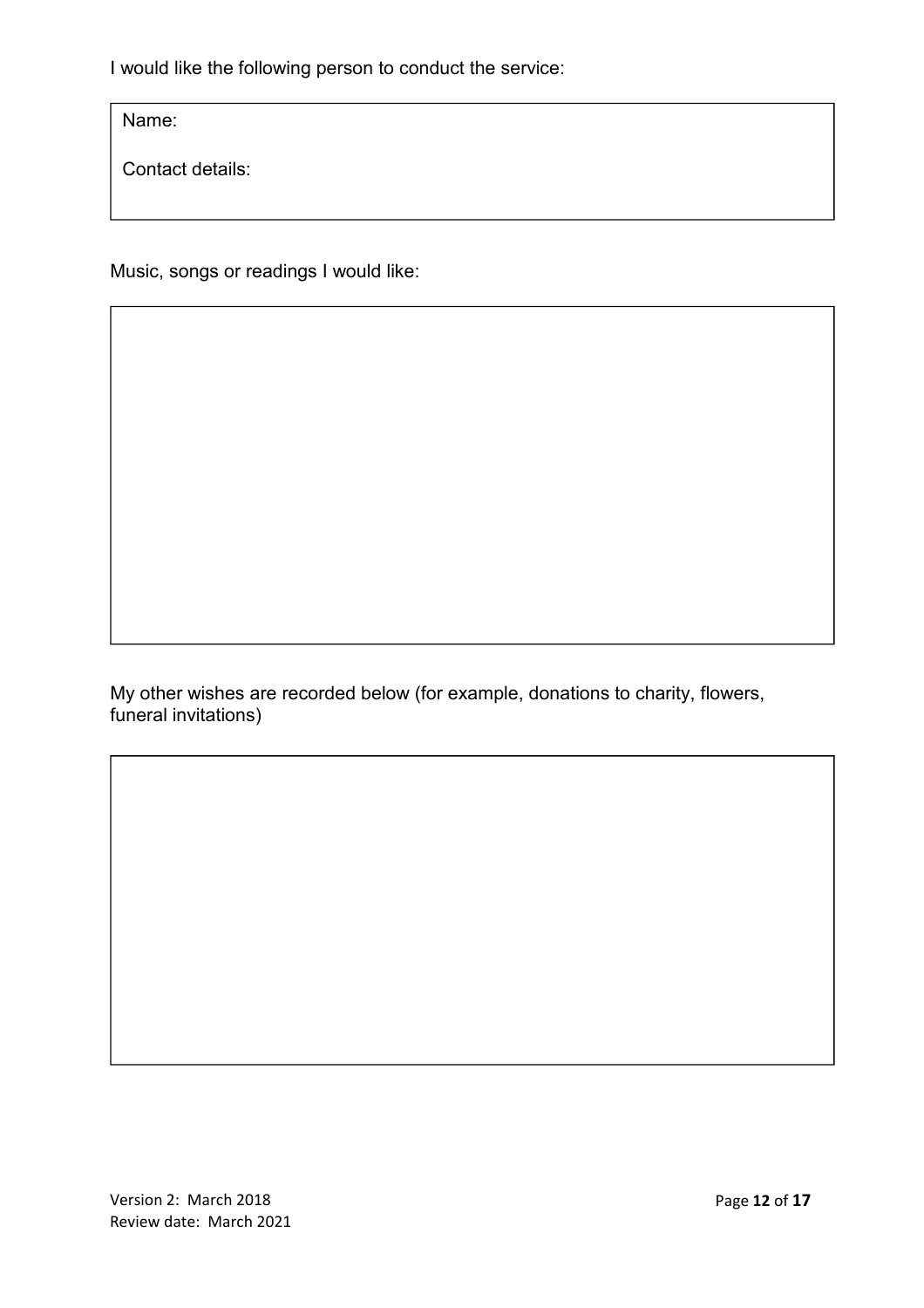I would like the following person to conduct the service:

Name:

Contact details:

Music, songs or readings I would like:

Music, songs or readings I would like:

My other wishes are recorded below (for example, donations to charity, flowers, funeral invitations)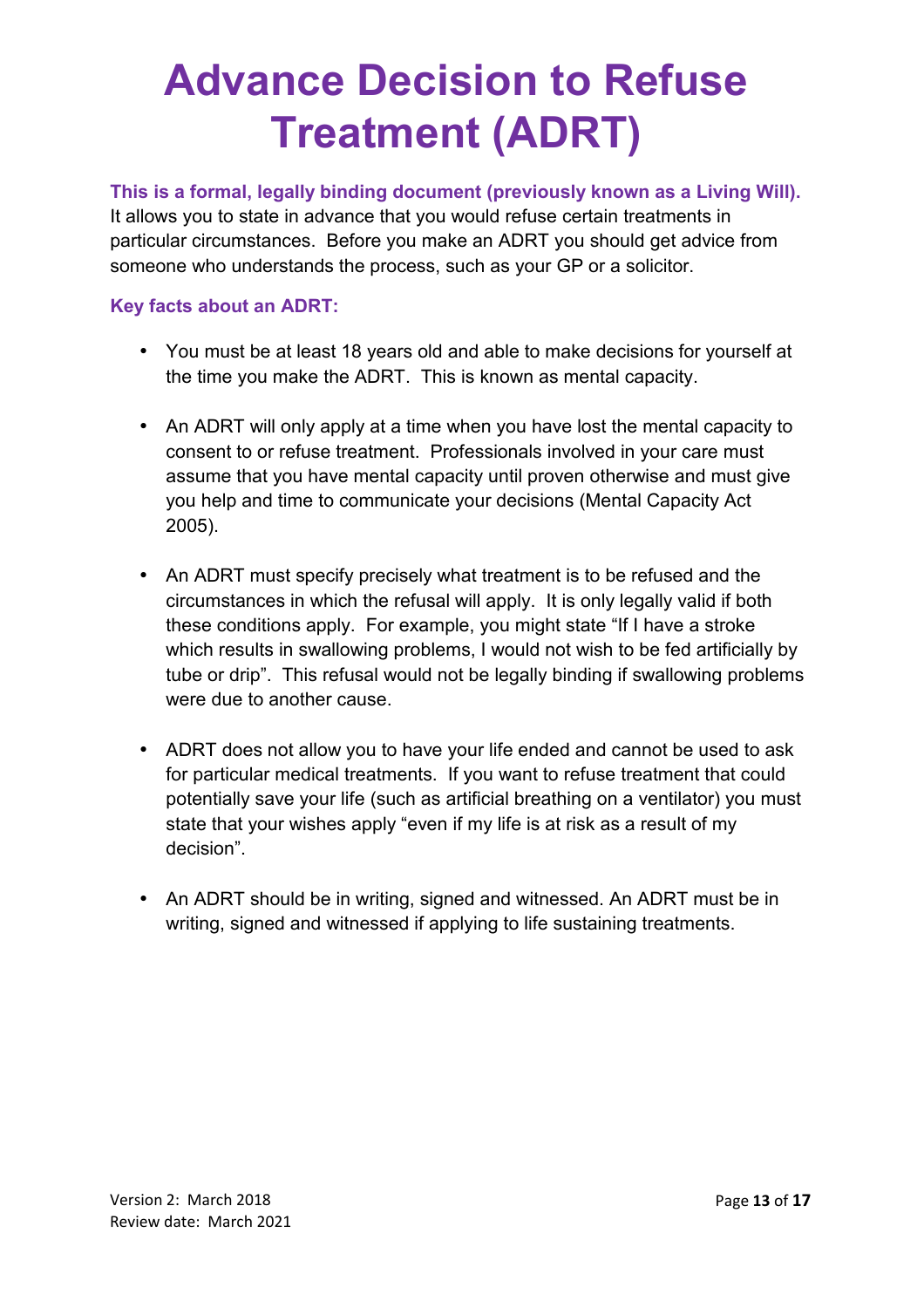## **Advance Decision to Refuse Treatment (ADRT)**

**This is a formal, legally binding document (previously known as a Living Will).** It allows you to state in advance that you would refuse certain treatments in particular circumstances. Before you make an ADRT you should get advice from someone who understands the process, such as your GP or a solicitor.

#### **Key facts about an ADRT:**

- You must be at least 18 years old and able to make decisions for yourself at the time you make the ADRT. This is known as mental capacity.
- An ADRT will only apply at a time when you have lost the mental capacity to consent to or refuse treatment. Professionals involved in your care must assume that you have mental capacity until proven otherwise and must give you help and time to communicate your decisions (Mental Capacity Act 2005).
- An ADRT must specify precisely what treatment is to be refused and the circumstances in which the refusal will apply. It is only legally valid if both these conditions apply. For example, you might state "If I have a stroke which results in swallowing problems, I would not wish to be fed artificially by tube or drip". This refusal would not be legally binding if swallowing problems were due to another cause.
- ADRT does not allow you to have your life ended and cannot be used to ask for particular medical treatments. If you want to refuse treatment that could potentially save your life (such as artificial breathing on a ventilator) you must state that your wishes apply "even if my life is at risk as a result of my decision".
- An ADRT should be in writing, signed and witnessed. An ADRT must be in writing, signed and witnessed if applying to life sustaining treatments.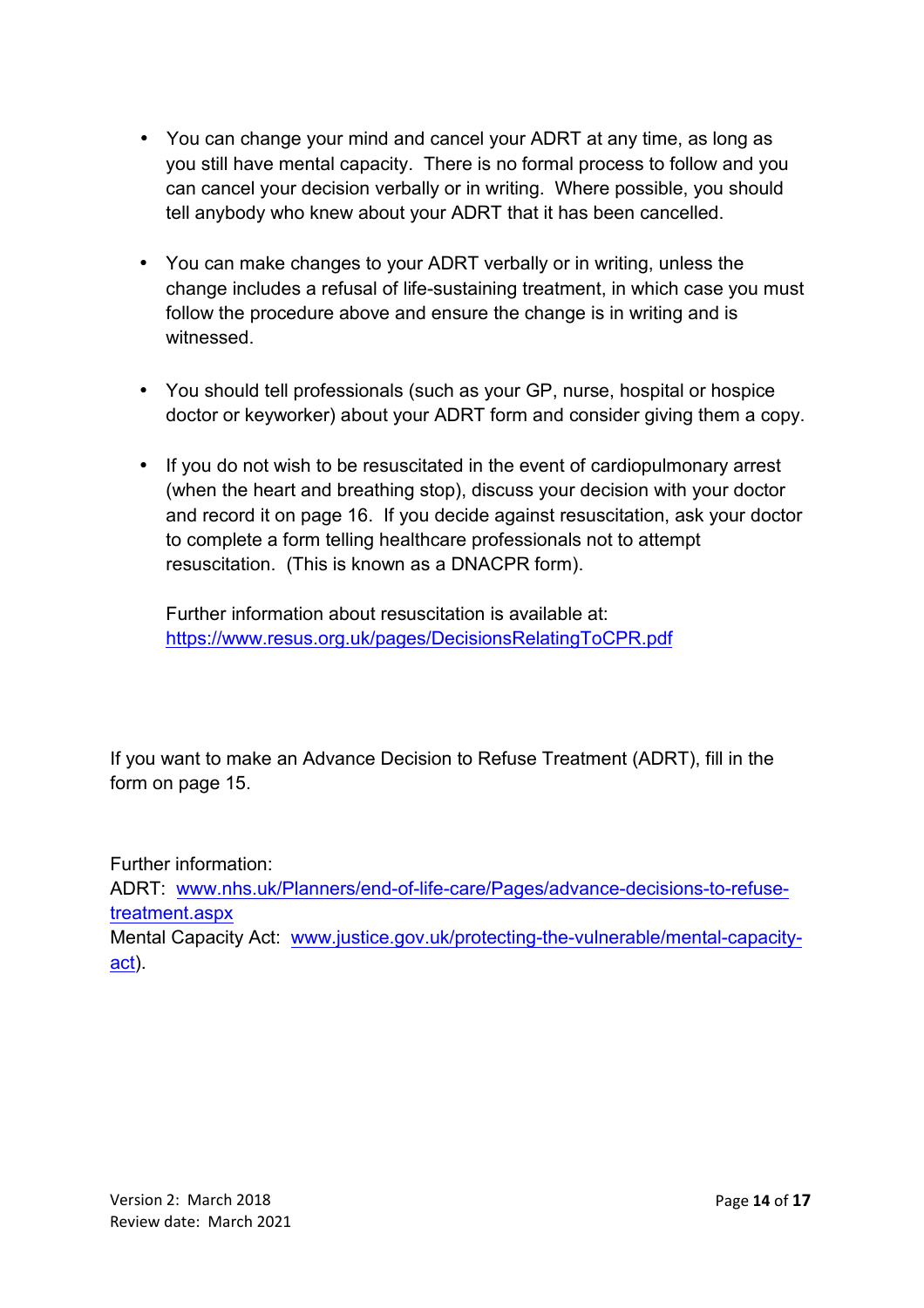- You can change your mind and cancel your ADRT at any time, as long as you still have mental capacity. There is no formal process to follow and you can cancel your decision verbally or in writing. Where possible, you should tell anybody who knew about your ADRT that it has been cancelled.
- You can make changes to your ADRT verbally or in writing, unless the change includes a refusal of life-sustaining treatment, in which case you must follow the procedure above and ensure the change is in writing and is witnessed.
- You should tell professionals (such as your GP, nurse, hospital or hospice doctor or keyworker) about your ADRT form and consider giving them a copy.
- If you do not wish to be resuscitated in the event of cardiopulmonary arrest (when the heart and breathing stop), discuss your decision with your doctor and record it on page 16. If you decide against resuscitation, ask your doctor to complete a form telling healthcare professionals not to attempt resuscitation. (This is known as a DNACPR form).

Further information about resuscitation is available at: https://www.resus.org.uk/pages/DecisionsRelatingToCPR.pdf

If you want to make an Advance Decision to Refuse Treatment (ADRT), fill in the form on page 15.

Further information:

ADRT: www.nhs.uk/Planners/end-of-life-care/Pages/advance-decisions-to-refusetreatment.aspx

Mental Capacity Act: www.justice.gov.uk/protecting-the-vulnerable/mental-capacityact).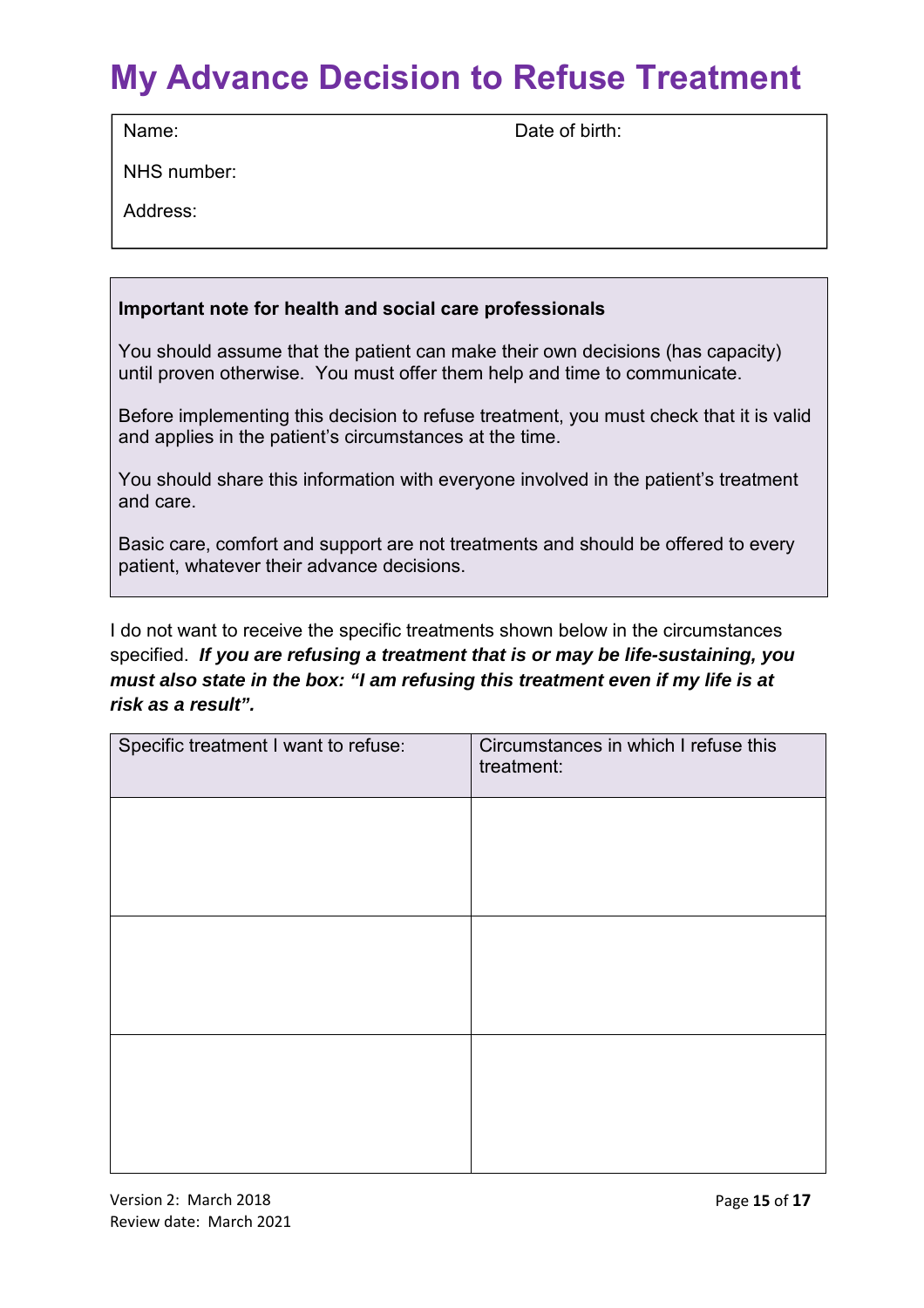## **My Advance Decision to Refuse Treatment**

Name: Date of birth:

NHS number:

Address:

#### **Important note for health and social care professionals**

You should assume that the patient can make their own decisions (has capacity) until proven otherwise. You must offer them help and time to communicate.

Before implementing this decision to refuse treatment, you must check that it is valid and applies in the patient's circumstances at the time.

You should share this information with everyone involved in the patient's treatment and care.

Basic care, comfort and support are not treatments and should be offered to every patient, whatever their advance decisions.

I do not want to receive the specific treatments shown below in the circumstances specified. **If you are refusing a treatment that is or may be life-sustaining, you must also state in the box: "I am refusing this treatment even if my life is at risk as a result".**

| Circumstances in which I refuse this<br>treatment: |
|----------------------------------------------------|
|                                                    |
|                                                    |
|                                                    |
|                                                    |
|                                                    |
|                                                    |
|                                                    |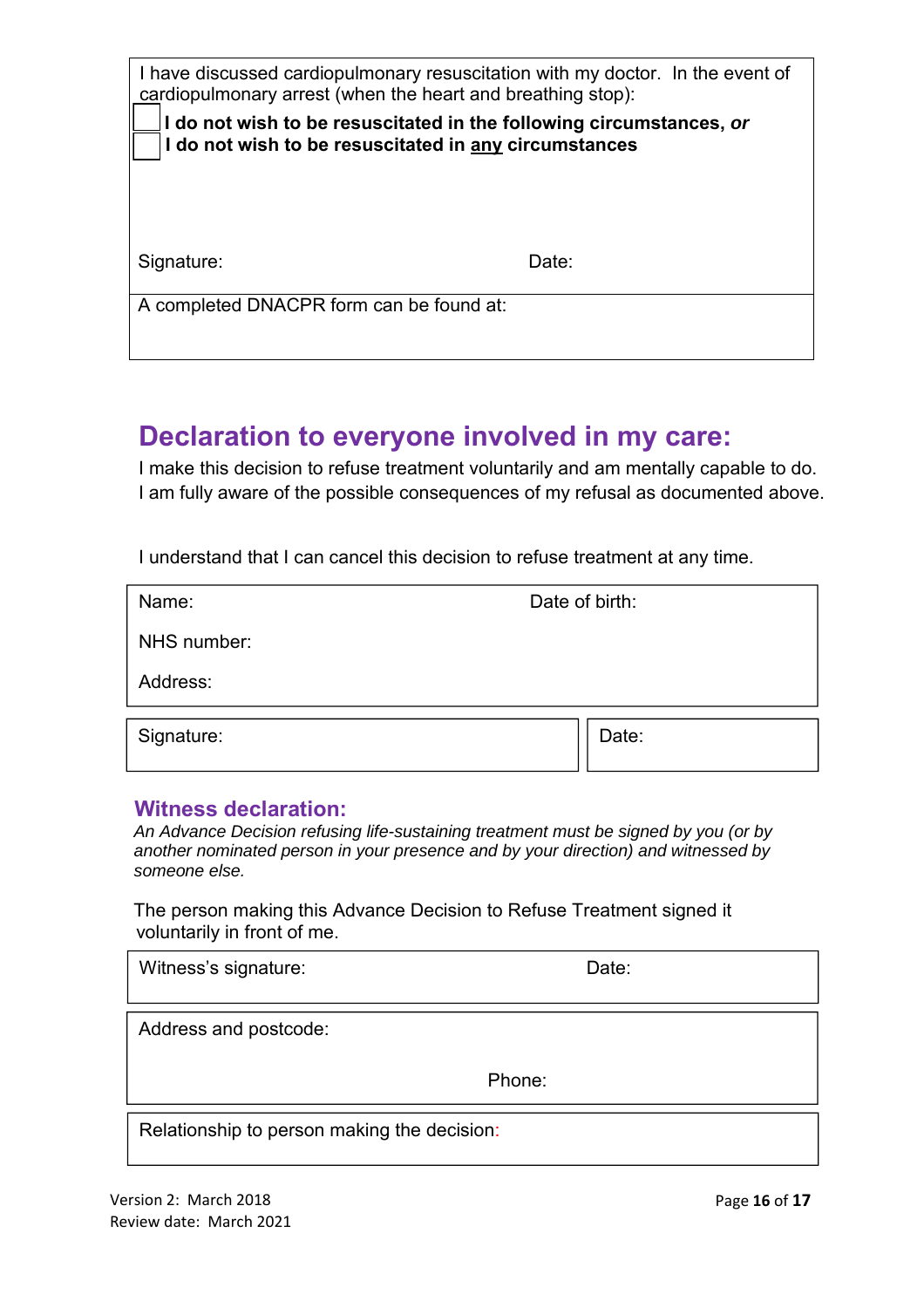| I have discussed cardiopulmonary resuscitation with my doctor. In the event of<br>cardiopulmonary arrest (when the heart and breathing stop): |       |  |
|-----------------------------------------------------------------------------------------------------------------------------------------------|-------|--|
| I do not wish to be resuscitated in the following circumstances, or<br>I do not wish to be resuscitated in any circumstances                  |       |  |
|                                                                                                                                               |       |  |
|                                                                                                                                               |       |  |
| Signature:                                                                                                                                    | Date: |  |
| A completed DNACPR form can be found at:                                                                                                      |       |  |

## **Declaration to everyone involved in my care:**

I make this decision to refuse treatment voluntarily and am mentally capable to do. I am fully aware of the possible consequences of my refusal as documented above.

I understand that I can cancel this decision to refuse treatment at any time.

| Name:       | Date of birth: |
|-------------|----------------|
| NHS number: |                |
| Address:    |                |
| Signature:  | Date:          |
|             |                |

#### **Witness declaration:**

 An Advance Decision refusing life-sustaining treatment must be signed by you (or by another nominated person in your presence and by your direction) and witnessed by someone else.

The person making this Advance Decision to Refuse Treatment signed it voluntarily in front of me.

| Witness's signature:                        | Date:  |
|---------------------------------------------|--------|
| Address and postcode:                       |        |
|                                             | Phone: |
| Relationship to person making the decision: |        |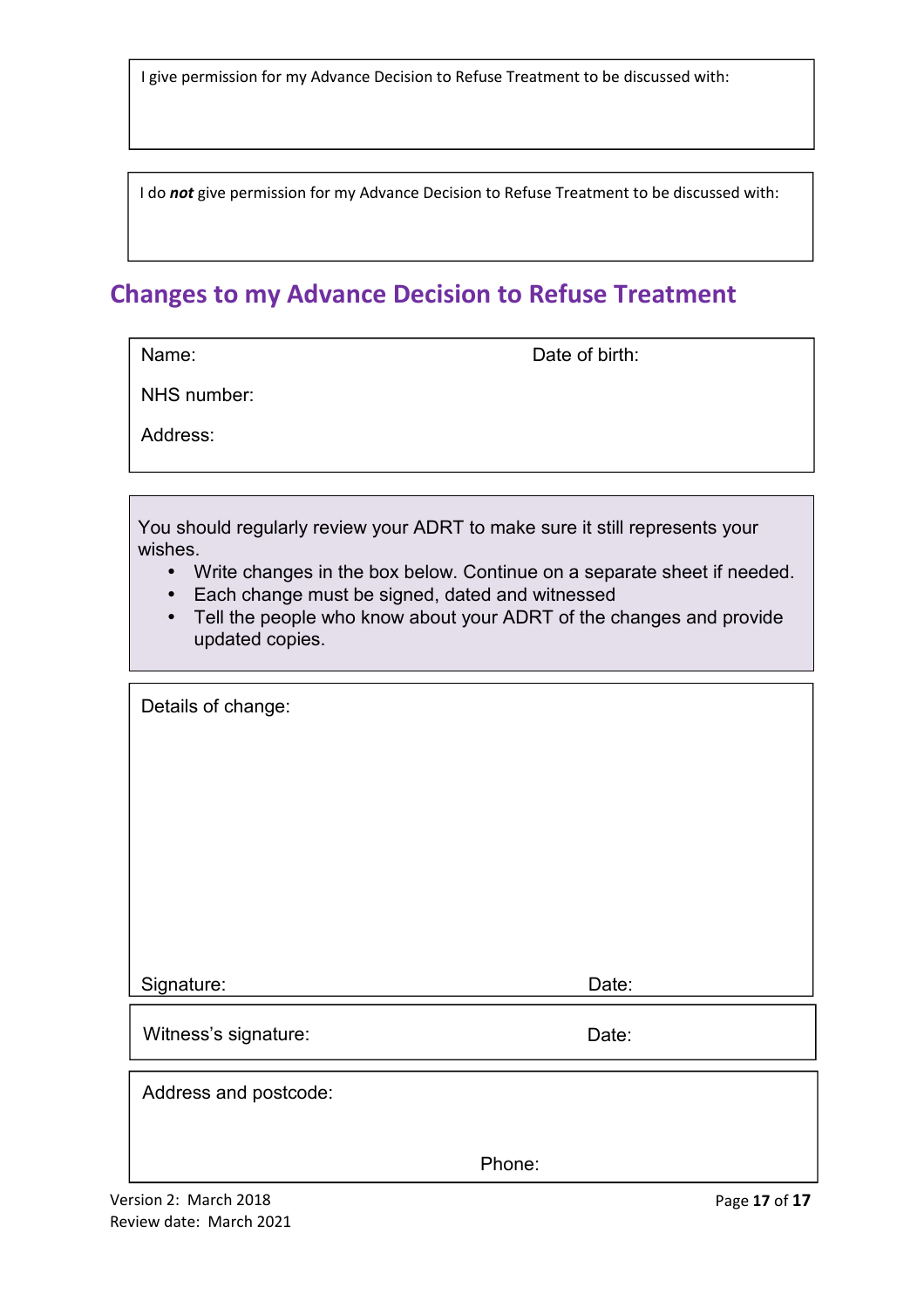I give permission for my Advance Decision to Refuse Treatment to be discussed with:

I do *not* give permission for my Advance Decision to Refuse Treatment to be discussed with:

#### **Changes to my Advance Decision to Refuse Treatment**

Name: **Name: Date of birth:** 

NHS number:

Address:

You should regularly review your ADRT to make sure it still represents your wishes.

- Write changes in the box below. Continue on a separate sheet if needed.
- Each change must be signed, dated and witnessed
- Tell the people who know about your ADRT of the changes and provide updated copies.

| Details of change:    |        |
|-----------------------|--------|
|                       |        |
|                       |        |
|                       |        |
|                       |        |
|                       |        |
| Signature:            | Date:  |
| Witness's signature:  | Date:  |
| Address and postcode: |        |
|                       |        |
|                       | Phone: |